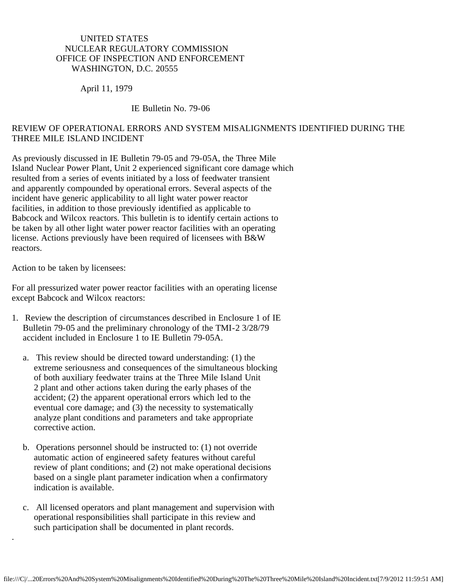## UNITED STATES NUCLEAR REGULATORY COMMISSION OFFICE OF INSPECTION AND ENFORCEMENT WASHINGTON, D.C. 20555

## April 11, 1979

## IE Bulletin No. 79-06

## REVIEW OF OPERATIONAL ERRORS AND SYSTEM MISALIGNMENTS IDENTIFIED DURING THE THREE MILE ISLAND INCIDENT

As previously discussed in IE Bulletin 79-05 and 79-05A, the Three Mile Island Nuclear Power Plant, Unit 2 experienced significant core damage which resulted from a series of events initiated by a loss of feedwater transient and apparently compounded by operational errors. Several aspects of the incident have generic applicability to all light water power reactor facilities, in addition to those previously identified as applicable to Babcock and Wilcox reactors. This bulletin is to identify certain actions to be taken by all other light water power reactor facilities with an operating license. Actions previously have been required of licensees with B&W reactors.

Action to be taken by licensees:

.

For all pressurized water power reactor facilities with an operating license except Babcock and Wilcox reactors:

- 1. Review the description of circumstances described in Enclosure 1 of IE Bulletin 79-05 and the preliminary chronology of the TMI-2 3/28/79 accident included in Enclosure 1 to IE Bulletin 79-05A.
	- a. This review should be directed toward understanding: (1) the extreme seriousness and consequences of the simultaneous blocking of both auxiliary feedwater trains at the Three Mile Island Unit 2 plant and other actions taken during the early phases of the accident; (2) the apparent operational errors which led to the eventual core damage; and (3) the necessity to systematically analyze plant conditions and parameters and take appropriate corrective action.
	- b. Operations personnel should be instructed to: (1) not override automatic action of engineered safety features without careful review of plant conditions; and (2) not make operational decisions based on a single plant parameter indication when a confirmatory indication is available.
	- c. All licensed operators and plant management and supervision with operational responsibilities shall participate in this review and such participation shall be documented in plant records.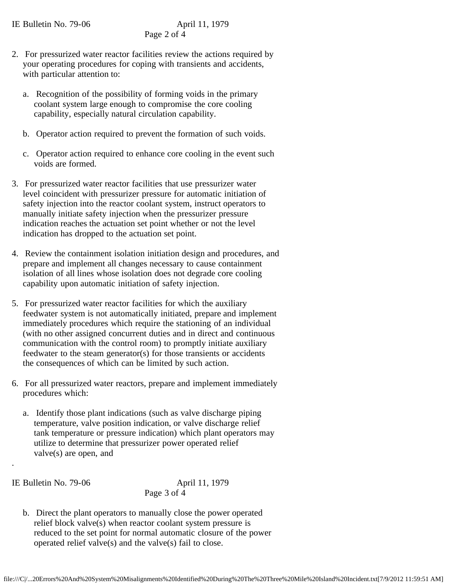- 2. For pressurized water reactor facilities review the actions required by your operating procedures for coping with transients and accidents, with particular attention to:
	- a. Recognition of the possibility of forming voids in the primary coolant system large enough to compromise the core cooling capability, especially natural circulation capability.
	- b. Operator action required to prevent the formation of such voids.
	- c. Operator action required to enhance core cooling in the event such voids are formed.
- 3. For pressurized water reactor facilities that use pressurizer water level coincident with pressurizer pressure for automatic initiation of safety injection into the reactor coolant system, instruct operators to manually initiate safety injection when the pressurizer pressure indication reaches the actuation set point whether or not the level indication has dropped to the actuation set point.
- 4. Review the containment isolation initiation design and procedures, and prepare and implement all changes necessary to cause containment isolation of all lines whose isolation does not degrade core cooling capability upon automatic initiation of safety injection.
- 5. For pressurized water reactor facilities for which the auxiliary feedwater system is not automatically initiated, prepare and implement immediately procedures which require the stationing of an individual (with no other assigned concurrent duties and in direct and continuous communication with the control room) to promptly initiate auxiliary feedwater to the steam generator(s) for those transients or accidents the consequences of which can be limited by such action.
- 6. For all pressurized water reactors, prepare and implement immediately procedures which:
	- a. Identify those plant indications (such as valve discharge piping temperature, valve position indication, or valve discharge relief tank temperature or pressure indication) which plant operators may utilize to determine that pressurizer power operated relief valve(s) are open, and

IE Bulletin No. 79-06 April 11, 1979

.

Page 3 of 4

 b. Direct the plant operators to manually close the power operated relief block valve(s) when reactor coolant system pressure is reduced to the set point for normal automatic closure of the power operated relief valve(s) and the valve(s) fail to close.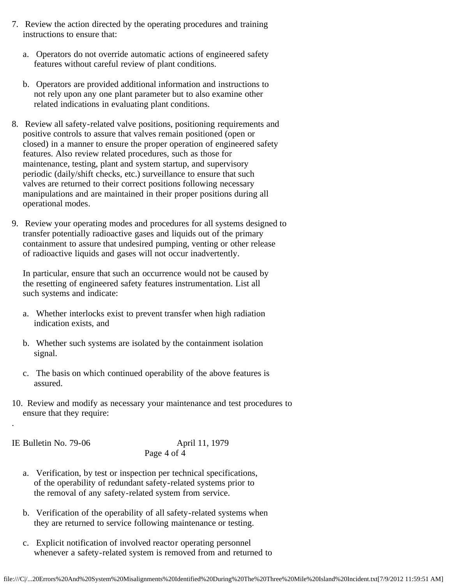- 7. Review the action directed by the operating procedures and training instructions to ensure that:
	- a. Operators do not override automatic actions of engineered safety features without careful review of plant conditions.
	- b. Operators are provided additional information and instructions to not rely upon any one plant parameter but to also examine other related indications in evaluating plant conditions.
- 8. Review all safety-related valve positions, positioning requirements and positive controls to assure that valves remain positioned (open or closed) in a manner to ensure the proper operation of engineered safety features. Also review related procedures, such as those for maintenance, testing, plant and system startup, and supervisory periodic (daily/shift checks, etc.) surveillance to ensure that such valves are returned to their correct positions following necessary manipulations and are maintained in their proper positions during all operational modes.
- 9. Review your operating modes and procedures for all systems designed to transfer potentially radioactive gases and liquids out of the primary containment to assure that undesired pumping, venting or other release of radioactive liquids and gases will not occur inadvertently.

 In particular, ensure that such an occurrence would not be caused by the resetting of engineered safety features instrumentation. List all such systems and indicate:

- a. Whether interlocks exist to prevent transfer when high radiation indication exists, and
- b. Whether such systems are isolated by the containment isolation signal.
- c. The basis on which continued operability of the above features is assured.
- 10. Review and modify as necessary your maintenance and test procedures to ensure that they require:

IE Bulletin No. 79-06 April 11, 1979

.

Page 4 of 4

- a. Verification, by test or inspection per technical specifications, of the operability of redundant safety-related systems prior to the removal of any safety-related system from service.
- b. Verification of the operability of all safety-related systems when they are returned to service following maintenance or testing.
- c. Explicit notification of involved reactor operating personnel whenever a safety-related system is removed from and returned to